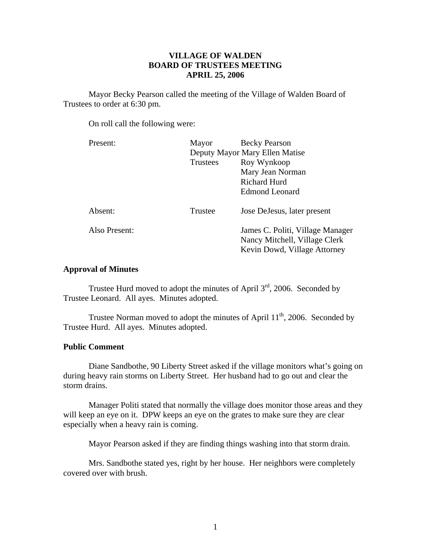# **VILLAGE OF WALDEN BOARD OF TRUSTEES MEETING APRIL 25, 2006**

 Mayor Becky Pearson called the meeting of the Village of Walden Board of Trustees to order at 6:30 pm.

On roll call the following were:

| Mayor                          | <b>Becky Pearson</b>                                                                              |
|--------------------------------|---------------------------------------------------------------------------------------------------|
| Deputy Mayor Mary Ellen Matise |                                                                                                   |
| <b>Trustees</b>                | Roy Wynkoop                                                                                       |
|                                | Mary Jean Norman                                                                                  |
|                                | Richard Hurd                                                                                      |
|                                | <b>Edmond Leonard</b>                                                                             |
| Trustee                        | Jose DeJesus, later present                                                                       |
|                                | James C. Politi, Village Manager<br>Nancy Mitchell, Village Clerk<br>Kevin Dowd, Village Attorney |
|                                |                                                                                                   |

## **Approval of Minutes**

Trustee Hurd moved to adopt the minutes of April  $3<sup>rd</sup>$ , 2006. Seconded by Trustee Leonard. All ayes. Minutes adopted.

Trustee Norman moved to adopt the minutes of April  $11<sup>th</sup>$ , 2006. Seconded by Trustee Hurd. All ayes. Minutes adopted.

#### **Public Comment**

Diane Sandbothe, 90 Liberty Street asked if the village monitors what's going on during heavy rain storms on Liberty Street. Her husband had to go out and clear the storm drains.

 Manager Politi stated that normally the village does monitor those areas and they will keep an eye on it. DPW keeps an eye on the grates to make sure they are clear especially when a heavy rain is coming.

Mayor Pearson asked if they are finding things washing into that storm drain.

 Mrs. Sandbothe stated yes, right by her house. Her neighbors were completely covered over with brush.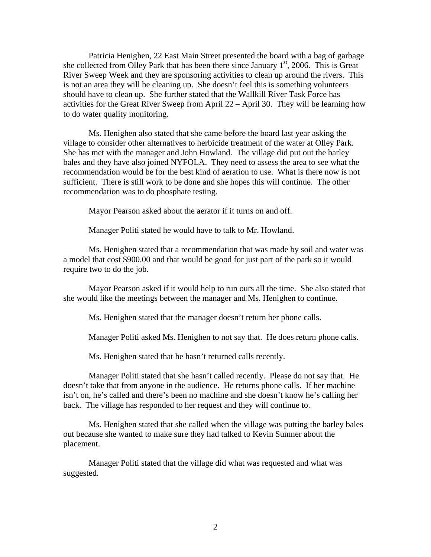Patricia Henighen, 22 East Main Street presented the board with a bag of garbage she collected from Olley Park that has been there since January  $1<sup>st</sup>$ , 2006. This is Great River Sweep Week and they are sponsoring activities to clean up around the rivers. This is not an area they will be cleaning up. She doesn't feel this is something volunteers should have to clean up. She further stated that the Wallkill River Task Force has activities for the Great River Sweep from April 22 – April 30. They will be learning how to do water quality monitoring.

 Ms. Henighen also stated that she came before the board last year asking the village to consider other alternatives to herbicide treatment of the water at Olley Park. She has met with the manager and John Howland. The village did put out the barley bales and they have also joined NYFOLA. They need to assess the area to see what the recommendation would be for the best kind of aeration to use. What is there now is not sufficient. There is still work to be done and she hopes this will continue. The other recommendation was to do phosphate testing.

Mayor Pearson asked about the aerator if it turns on and off.

Manager Politi stated he would have to talk to Mr. Howland.

 Ms. Henighen stated that a recommendation that was made by soil and water was a model that cost \$900.00 and that would be good for just part of the park so it would require two to do the job.

 Mayor Pearson asked if it would help to run ours all the time. She also stated that she would like the meetings between the manager and Ms. Henighen to continue.

Ms. Henighen stated that the manager doesn't return her phone calls.

Manager Politi asked Ms. Henighen to not say that. He does return phone calls.

Ms. Henighen stated that he hasn't returned calls recently.

 Manager Politi stated that she hasn't called recently. Please do not say that. He doesn't take that from anyone in the audience. He returns phone calls. If her machine isn't on, he's called and there's been no machine and she doesn't know he's calling her back. The village has responded to her request and they will continue to.

 Ms. Henighen stated that she called when the village was putting the barley bales out because she wanted to make sure they had talked to Kevin Sumner about the placement.

 Manager Politi stated that the village did what was requested and what was suggested.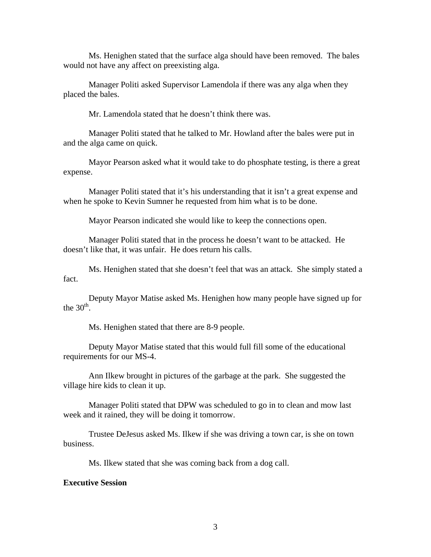Ms. Henighen stated that the surface alga should have been removed. The bales would not have any affect on preexisting alga.

 Manager Politi asked Supervisor Lamendola if there was any alga when they placed the bales.

Mr. Lamendola stated that he doesn't think there was.

Manager Politi stated that he talked to Mr. Howland after the bales were put in and the alga came on quick.

Mayor Pearson asked what it would take to do phosphate testing, is there a great expense.

Manager Politi stated that it's his understanding that it isn't a great expense and when he spoke to Kevin Sumner he requested from him what is to be done.

Mayor Pearson indicated she would like to keep the connections open.

Manager Politi stated that in the process he doesn't want to be attacked. He doesn't like that, it was unfair. He does return his calls.

Ms. Henighen stated that she doesn't feel that was an attack. She simply stated a fact.

Deputy Mayor Matise asked Ms. Henighen how many people have signed up for the  $30<sup>th</sup>$ .

Ms. Henighen stated that there are 8-9 people.

Deputy Mayor Matise stated that this would full fill some of the educational requirements for our MS-4.

Ann Ilkew brought in pictures of the garbage at the park. She suggested the village hire kids to clean it up.

Manager Politi stated that DPW was scheduled to go in to clean and mow last week and it rained, they will be doing it tomorrow.

Trustee DeJesus asked Ms. Ilkew if she was driving a town car, is she on town business.

Ms. Ilkew stated that she was coming back from a dog call.

#### **Executive Session**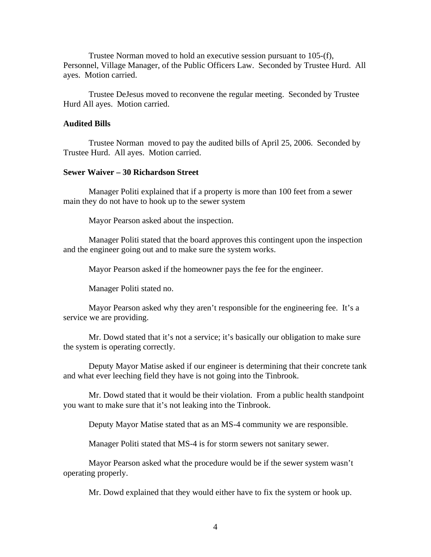Trustee Norman moved to hold an executive session pursuant to 105-(f), Personnel, Village Manager, of the Public Officers Law. Seconded by Trustee Hurd. All ayes. Motion carried.

 Trustee DeJesus moved to reconvene the regular meeting. Seconded by Trustee Hurd All ayes. Motion carried.

## **Audited Bills**

Trustee Norman moved to pay the audited bills of April 25, 2006. Seconded by Trustee Hurd. All ayes. Motion carried.

## **Sewer Waiver – 30 Richardson Street**

Manager Politi explained that if a property is more than 100 feet from a sewer main they do not have to hook up to the sewer system

Mayor Pearson asked about the inspection.

 Manager Politi stated that the board approves this contingent upon the inspection and the engineer going out and to make sure the system works.

Mayor Pearson asked if the homeowner pays the fee for the engineer.

Manager Politi stated no.

 Mayor Pearson asked why they aren't responsible for the engineering fee. It's a service we are providing.

 Mr. Dowd stated that it's not a service; it's basically our obligation to make sure the system is operating correctly.

 Deputy Mayor Matise asked if our engineer is determining that their concrete tank and what ever leeching field they have is not going into the Tinbrook.

 Mr. Dowd stated that it would be their violation. From a public health standpoint you want to make sure that it's not leaking into the Tinbrook.

Deputy Mayor Matise stated that as an MS-4 community we are responsible.

Manager Politi stated that MS-4 is for storm sewers not sanitary sewer.

 Mayor Pearson asked what the procedure would be if the sewer system wasn't operating properly.

Mr. Dowd explained that they would either have to fix the system or hook up.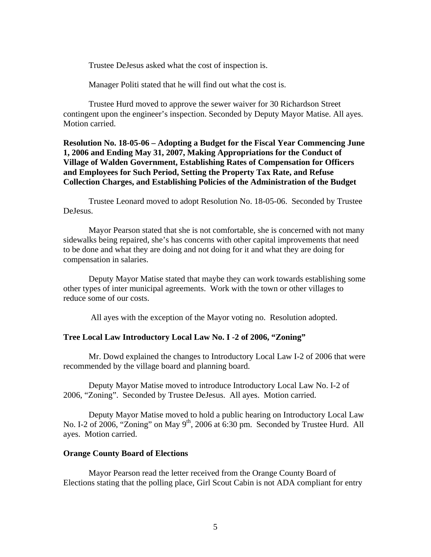Trustee DeJesus asked what the cost of inspection is.

Manager Politi stated that he will find out what the cost is.

Trustee Hurd moved to approve the sewer waiver for 30 Richardson Street contingent upon the engineer's inspection. Seconded by Deputy Mayor Matise. All ayes. Motion carried.

**Resolution No. 18-05-06 – Adopting a Budget for the Fiscal Year Commencing June 1, 2006 and Ending May 31, 2007, Making Appropriations for the Conduct of Village of Walden Government, Establishing Rates of Compensation for Officers and Employees for Such Period, Setting the Property Tax Rate, and Refuse Collection Charges, and Establishing Policies of the Administration of the Budget** 

 Trustee Leonard moved to adopt Resolution No. 18-05-06. Seconded by Trustee DeJesus.

Mayor Pearson stated that she is not comfortable, she is concerned with not many sidewalks being repaired, she's has concerns with other capital improvements that need to be done and what they are doing and not doing for it and what they are doing for compensation in salaries.

Deputy Mayor Matise stated that maybe they can work towards establishing some other types of inter municipal agreements. Work with the town or other villages to reduce some of our costs.

All ayes with the exception of the Mayor voting no. Resolution adopted.

## **Tree Local Law Introductory Local Law No. I -2 of 2006, "Zoning"**

Mr. Dowd explained the changes to Introductory Local Law I-2 of 2006 that were recommended by the village board and planning board.

Deputy Mayor Matise moved to introduce Introductory Local Law No. I-2 of 2006, "Zoning". Seconded by Trustee DeJesus. All ayes. Motion carried.

 Deputy Mayor Matise moved to hold a public hearing on Introductory Local Law No. I-2 of 2006, "Zoning" on May  $9<sup>th</sup>$ , 2006 at 6:30 pm. Seconded by Trustee Hurd. All ayes. Motion carried.

## **Orange County Board of Elections**

Mayor Pearson read the letter received from the Orange County Board of Elections stating that the polling place, Girl Scout Cabin is not ADA compliant for entry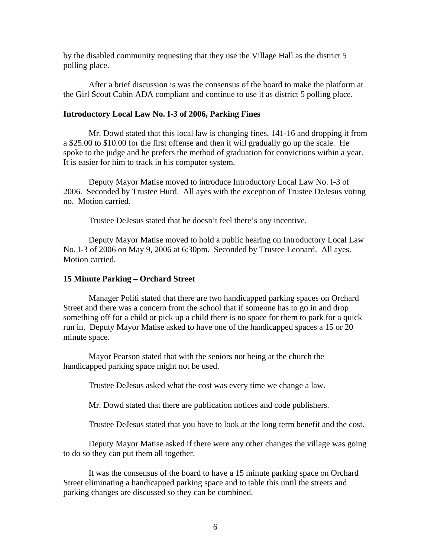by the disabled community requesting that they use the Village Hall as the district 5 polling place.

 After a brief discussion is was the consensus of the board to make the platform at the Girl Scout Cabin ADA compliant and continue to use it as district 5 polling place.

## **Introductory Local Law No. I-3 of 2006, Parking Fines**

Mr. Dowd stated that this local law is changing fines, 141-16 and dropping it from a \$25.00 to \$10.00 for the first offense and then it will gradually go up the scale. He spoke to the judge and he prefers the method of graduation for convictions within a year. It is easier for him to track in his computer system.

Deputy Mayor Matise moved to introduce Introductory Local Law No. I-3 of 2006. Seconded by Trustee Hurd. All ayes with the exception of Trustee DeJesus voting no. Motion carried.

Trustee DeJesus stated that he doesn't feel there's any incentive.

 Deputy Mayor Matise moved to hold a public hearing on Introductory Local Law No. I-3 of 2006 on May 9, 2006 at 6:30pm. Seconded by Trustee Leonard. All ayes. Motion carried.

## **15 Minute Parking – Orchard Street**

Manager Politi stated that there are two handicapped parking spaces on Orchard Street and there was a concern from the school that if someone has to go in and drop something off for a child or pick up a child there is no space for them to park for a quick run in. Deputy Mayor Matise asked to have one of the handicapped spaces a 15 or 20 minute space.

 Mayor Pearson stated that with the seniors not being at the church the handicapped parking space might not be used.

Trustee DeJesus asked what the cost was every time we change a law.

Mr. Dowd stated that there are publication notices and code publishers.

Trustee DeJesus stated that you have to look at the long term benefit and the cost.

 Deputy Mayor Matise asked if there were any other changes the village was going to do so they can put them all together.

 It was the consensus of the board to have a 15 minute parking space on Orchard Street eliminating a handicapped parking space and to table this until the streets and parking changes are discussed so they can be combined.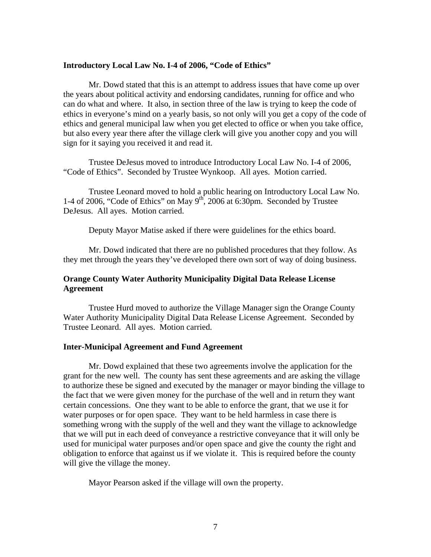#### **Introductory Local Law No. I-4 of 2006, "Code of Ethics"**

 Mr. Dowd stated that this is an attempt to address issues that have come up over the years about political activity and endorsing candidates, running for office and who can do what and where. It also, in section three of the law is trying to keep the code of ethics in everyone's mind on a yearly basis, so not only will you get a copy of the code of ethics and general municipal law when you get elected to office or when you take office, but also every year there after the village clerk will give you another copy and you will sign for it saying you received it and read it.

Trustee DeJesus moved to introduce Introductory Local Law No. I-4 of 2006, "Code of Ethics". Seconded by Trustee Wynkoop. All ayes. Motion carried.

 Trustee Leonard moved to hold a public hearing on Introductory Local Law No. 1-4 of 2006, "Code of Ethics" on May  $9<sup>th</sup>$ , 2006 at 6:30pm. Seconded by Trustee DeJesus. All ayes. Motion carried.

Deputy Mayor Matise asked if there were guidelines for the ethics board.

 Mr. Dowd indicated that there are no published procedures that they follow. As they met through the years they've developed there own sort of way of doing business.

# **Orange County Water Authority Municipality Digital Data Release License Agreement**

Trustee Hurd moved to authorize the Village Manager sign the Orange County Water Authority Municipality Digital Data Release License Agreement. Seconded by Trustee Leonard. All ayes. Motion carried.

#### **Inter-Municipal Agreement and Fund Agreement**

Mr. Dowd explained that these two agreements involve the application for the grant for the new well. The county has sent these agreements and are asking the village to authorize these be signed and executed by the manager or mayor binding the village to the fact that we were given money for the purchase of the well and in return they want certain concessions. One they want to be able to enforce the grant, that we use it for water purposes or for open space. They want to be held harmless in case there is something wrong with the supply of the well and they want the village to acknowledge that we will put in each deed of conveyance a restrictive conveyance that it will only be used for municipal water purposes and/or open space and give the county the right and obligation to enforce that against us if we violate it. This is required before the county will give the village the money.

Mayor Pearson asked if the village will own the property.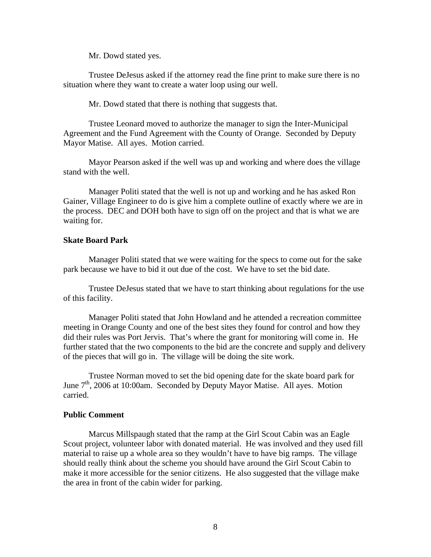Mr. Dowd stated yes.

Trustee DeJesus asked if the attorney read the fine print to make sure there is no situation where they want to create a water loop using our well.

Mr. Dowd stated that there is nothing that suggests that.

Trustee Leonard moved to authorize the manager to sign the Inter-Municipal Agreement and the Fund Agreement with the County of Orange. Seconded by Deputy Mayor Matise. All ayes. Motion carried.

 Mayor Pearson asked if the well was up and working and where does the village stand with the well.

 Manager Politi stated that the well is not up and working and he has asked Ron Gainer, Village Engineer to do is give him a complete outline of exactly where we are in the process. DEC and DOH both have to sign off on the project and that is what we are waiting for.

## **Skate Board Park**

Manager Politi stated that we were waiting for the specs to come out for the sake park because we have to bid it out due of the cost. We have to set the bid date.

 Trustee DeJesus stated that we have to start thinking about regulations for the use of this facility.

 Manager Politi stated that John Howland and he attended a recreation committee meeting in Orange County and one of the best sites they found for control and how they did their rules was Port Jervis. That's where the grant for monitoring will come in. He further stated that the two components to the bid are the concrete and supply and delivery of the pieces that will go in. The village will be doing the site work.

Trustee Norman moved to set the bid opening date for the skate board park for June 7<sup>th</sup>, 2006 at 10:00am. Seconded by Deputy Mayor Matise. All ayes. Motion carried.

## **Public Comment**

Marcus Millspaugh stated that the ramp at the Girl Scout Cabin was an Eagle Scout project, volunteer labor with donated material. He was involved and they used fill material to raise up a whole area so they wouldn't have to have big ramps. The village should really think about the scheme you should have around the Girl Scout Cabin to make it more accessible for the senior citizens. He also suggested that the village make the area in front of the cabin wider for parking.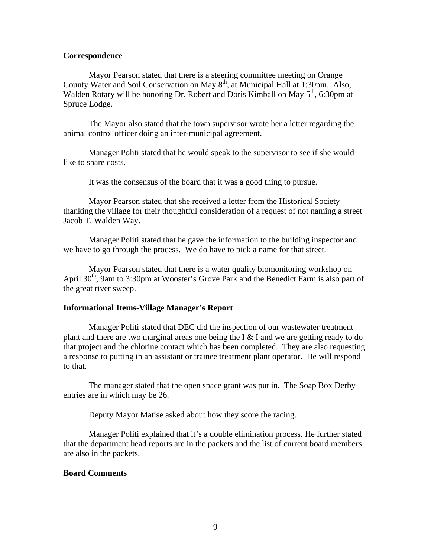## **Correspondence**

Mayor Pearson stated that there is a steering committee meeting on Orange County Water and Soil Conservation on May  $8<sup>th</sup>$ , at Municipal Hall at 1:30pm. Also, Walden Rotary will be honoring Dr. Robert and Doris Kimball on May  $5<sup>th</sup>$ , 6:30pm at Spruce Lodge.

 The Mayor also stated that the town supervisor wrote her a letter regarding the animal control officer doing an inter-municipal agreement.

 Manager Politi stated that he would speak to the supervisor to see if she would like to share costs.

It was the consensus of the board that it was a good thing to pursue.

 Mayor Pearson stated that she received a letter from the Historical Society thanking the village for their thoughtful consideration of a request of not naming a street Jacob T. Walden Way.

 Manager Politi stated that he gave the information to the building inspector and we have to go through the process. We do have to pick a name for that street.

 Mayor Pearson stated that there is a water quality biomonitoring workshop on April  $30<sup>th</sup>$ , 9am to 3:30pm at Wooster's Grove Park and the Benedict Farm is also part of the great river sweep.

## **Informational Items-Village Manager's Report**

Manager Politi stated that DEC did the inspection of our wastewater treatment plant and there are two marginal areas one being the I & I and we are getting ready to do that project and the chlorine contact which has been completed. They are also requesting a response to putting in an assistant or trainee treatment plant operator. He will respond to that.

 The manager stated that the open space grant was put in. The Soap Box Derby entries are in which may be 26.

Deputy Mayor Matise asked about how they score the racing.

 Manager Politi explained that it's a double elimination process. He further stated that the department head reports are in the packets and the list of current board members are also in the packets.

## **Board Comments**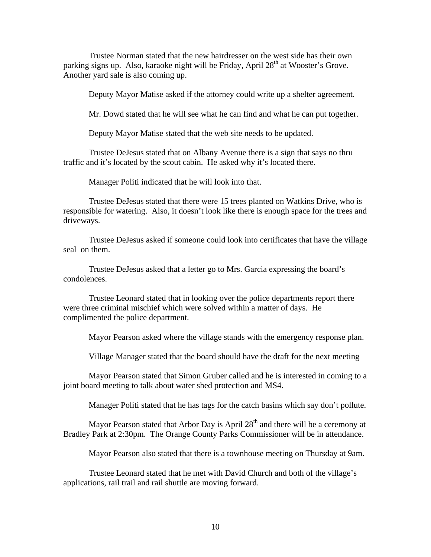Trustee Norman stated that the new hairdresser on the west side has their own parking signs up. Also, karaoke night will be Friday, April 28<sup>th</sup> at Wooster's Grove. Another yard sale is also coming up.

Deputy Mayor Matise asked if the attorney could write up a shelter agreement.

Mr. Dowd stated that he will see what he can find and what he can put together.

Deputy Mayor Matise stated that the web site needs to be updated.

 Trustee DeJesus stated that on Albany Avenue there is a sign that says no thru traffic and it's located by the scout cabin. He asked why it's located there.

Manager Politi indicated that he will look into that.

 Trustee DeJesus stated that there were 15 trees planted on Watkins Drive, who is responsible for watering. Also, it doesn't look like there is enough space for the trees and driveways.

 Trustee DeJesus asked if someone could look into certificates that have the village seal on them.

 Trustee DeJesus asked that a letter go to Mrs. Garcia expressing the board's condolences.

 Trustee Leonard stated that in looking over the police departments report there were three criminal mischief which were solved within a matter of days. He complimented the police department.

Mayor Pearson asked where the village stands with the emergency response plan.

Village Manager stated that the board should have the draft for the next meeting

 Mayor Pearson stated that Simon Gruber called and he is interested in coming to a joint board meeting to talk about water shed protection and MS4.

Manager Politi stated that he has tags for the catch basins which say don't pollute.

Mayor Pearson stated that Arbor Day is April  $28<sup>th</sup>$  and there will be a ceremony at Bradley Park at 2:30pm. The Orange County Parks Commissioner will be in attendance.

Mayor Pearson also stated that there is a townhouse meeting on Thursday at 9am.

Trustee Leonard stated that he met with David Church and both of the village's applications, rail trail and rail shuttle are moving forward.